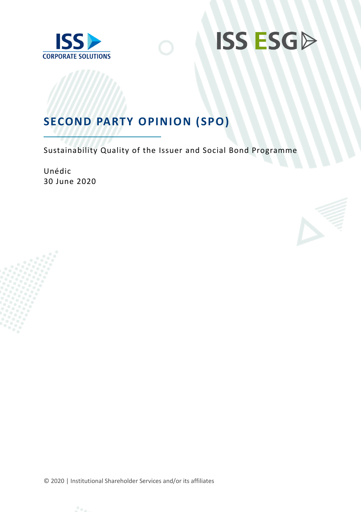



## **SECOND PARTY OPINION (SPO)**

Sustainability Quality of the Issuer and Social Bond Programme

Unédic 30 June 2020



© 2020 | Institutional Shareholder Services and/or its affiliates

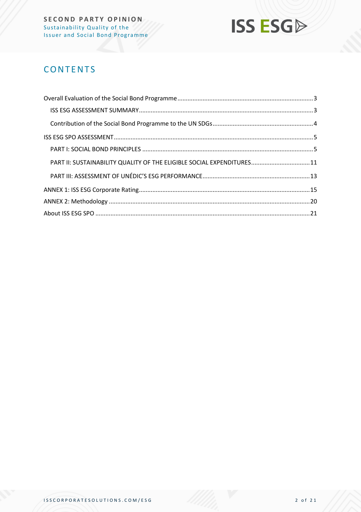

## **CONTENTS**

| PART II: SUSTAINABILITY QUALITY OF THE ELIGIBLE SOCIAL EXPENDITURES11 |  |
|-----------------------------------------------------------------------|--|
|                                                                       |  |
|                                                                       |  |
|                                                                       |  |
|                                                                       |  |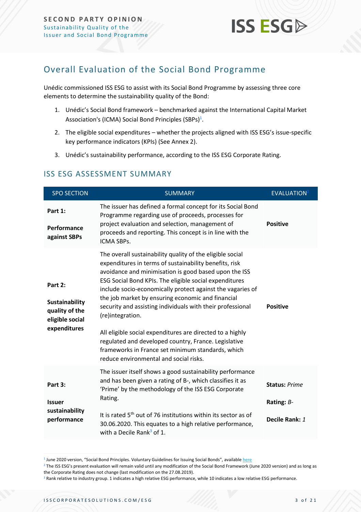

## <span id="page-2-0"></span>Overall Evaluation of the Social Bond Programme

Unédic commissioned ISS ESG to assist with its Social Bond Programme by assessing three core elements to determine the sustainability quality of the Bond:

- 1. Unédic's Social Bond framework benchmarked against the International Capital Market Association's (ICMA) Social Bond Principles (SBPs) $^1$ .
- 2. The eligible social expenditures whether the projects aligned with ISS ESG's issue-specific key performance indicators (KPIs) (See Annex 2).
- 3. Unédic's sustainability performance, according to the ISS ESG Corporate Rating.

| <b>SPO SECTION</b>                                                             | <b>SUMMARY</b>                                                                                                                                                                                                                                                                                                                                                                                                                                                                                                                                                                                                                                                  | <b>EVALUATION</b> <sup>2</sup>                         |
|--------------------------------------------------------------------------------|-----------------------------------------------------------------------------------------------------------------------------------------------------------------------------------------------------------------------------------------------------------------------------------------------------------------------------------------------------------------------------------------------------------------------------------------------------------------------------------------------------------------------------------------------------------------------------------------------------------------------------------------------------------------|--------------------------------------------------------|
| Part 1:<br>Performance<br>against SBPs                                         | The issuer has defined a formal concept for its Social Bond<br>Programme regarding use of proceeds, processes for<br>project evaluation and selection, management of<br>proceeds and reporting. This concept is in line with the<br>ICMA SBPs.                                                                                                                                                                                                                                                                                                                                                                                                                  | <b>Positive</b>                                        |
| Part 2:<br>Sustainability<br>quality of the<br>eligible social<br>expenditures | The overall sustainability quality of the eligible social<br>expenditures in terms of sustainability benefits, risk<br>avoidance and minimisation is good based upon the ISS<br>ESG Social Bond KPIs. The eligible social expenditures<br>include socio-economically protect against the vagaries of<br>the job market by ensuring economic and financial<br>security and assisting individuals with their professional<br>(re)integration.<br>All eligible social expenditures are directed to a highly<br>regulated and developed country, France. Legislative<br>frameworks in France set minimum standards, which<br>reduce environmental and social risks. | <b>Positive</b>                                        |
| Part 3:<br><b>Issuer</b><br>sustainability<br>performance                      | The issuer itself shows a good sustainability performance<br>and has been given a rating of B-, which classifies it as<br>'Prime' by the methodology of the ISS ESG Corporate<br>Rating.<br>It is rated 5 <sup>th</sup> out of 76 institutions within its sector as of<br>30.06.2020. This equates to a high relative performance,<br>with a Decile Rank $3$ of 1.                                                                                                                                                                                                                                                                                              | <b>Status: Prime</b><br>Rating: $B-$<br>Decile Rank: 1 |

#### <span id="page-2-1"></span>ISS ESG ASSESSMENT SUMMARY

<sup>&</sup>lt;sup>1</sup> June 2020 version, "Social Bond Principles. Voluntary Guidelines for Issuing Social Bonds", available <u>[here](https://www.icmagroup.org/assets/documents/Regulatory/Green-Bonds/June-2020/Social-Bond-PrinciplesJune-2020-090620.pdf)</u>

<sup>&</sup>lt;sup>2</sup> The ISS ESG's present evaluation will remain valid until any modification of the Social Bond Framework (June 2020 version) and as long as the Corporate Rating does not change (last modification on the 27.08.2019).

<sup>&</sup>lt;sup>3</sup> Rank relative to industry group. 1 indicates a high relative ESG performance, while 10 indicates a low relative ESG performance.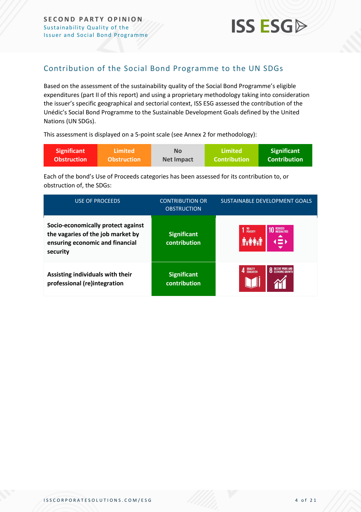## <span id="page-3-0"></span>Contribution of the Social Bond Programme to the UN SDGs

Based on the assessment of the sustainability quality of the Social Bond Programme's eligible expenditures (part II of this report) and using a proprietary methodology taking into consideration the issuer's specific geographical and sectorial context, ISS ESG assessed the contribution of the Unédic's Social Bond Programme to the Sustainable Development Goals defined by the United Nations (UN SDGs).

This assessment is displayed on a 5-point scale (see Annex 2 for methodology):

| <b>Significant</b> | \Limited \         | <b>No</b>  | Limited             | <b>Significant</b> |
|--------------------|--------------------|------------|---------------------|--------------------|
| <b>Obstruction</b> | <b>Obstruction</b> | Net Impact | <b>Contribution</b> | Contribution \     |

Each of the bond's Use of Proceeds categories has been assessed for its contribution to, or obstruction of, the SDGs:

| <b>USE OF PROCEEDS</b>                                                                                                 | <b>CONTRIBUTION OR</b><br><b>OBSTRUCTION</b> | SUSTAINABLE DEVELOPMENT GOALS                                          |
|------------------------------------------------------------------------------------------------------------------------|----------------------------------------------|------------------------------------------------------------------------|
| Socio-economically protect against<br>the vagaries of the job market by<br>ensuring economic and financial<br>security | <b>Significant</b><br>contribution           | 1 NO <sub>POVERTY</sub><br><b>10 REDUCED</b><br><b>10 INEQUALITIES</b> |
| Assisting individuals with their<br>professional (re)integration                                                       | <b>Significant</b><br>contribution           | QUALITY<br>Education                                                   |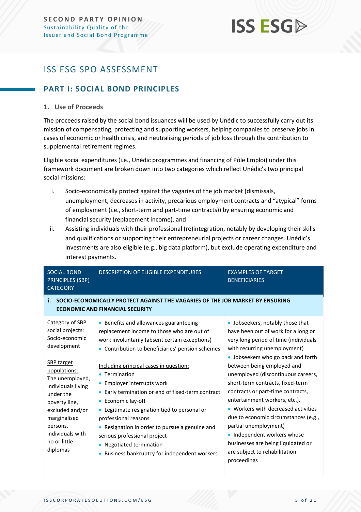## <span id="page-4-0"></span>ISS ESG SPO ASSESSMENT

## <span id="page-4-1"></span>**PART I: SOCIAL BOND PRINCIPLES**

#### **1. Use of Proceeds**

The proceeds raised by the social bond issuances will be used by Unédic to successfully carry out its mission of compensating, protecting and supporting workers, helping companies to preserve jobs in cases of economic or health crisis, and neutralising periods of job loss through the contribution to supplemental retirement regimes.

Eligible social expenditures (i.e., Unédic programmes and financing of Pôle Emploi) under this framework document are broken down into two categories which reflect Unédic's two principal social missions:

- i. Socio-economically protect against the vagaries of the job market (dismissals, unemployment, decreases in activity, precarious employment contracts and "atypical" forms of employment (i.e., short-term and part-time contracts)) by ensuring economic and financial security (replacement income), and
- ii. Assisting individuals with their professional (re)integration, notably by developing their skills and qualifications or supporting their entrepreneurial projects or career changes. Unédic's investments are also eligible (e.g., big data platform), but exclude operating expenditure and interest payments.

| <b>SOCIAL BOND</b><br><b>PRINCIPLES (SBP)</b><br><b>CATEGORY</b>                                                                                                                                        | <b>DESCRIPTION OF ELIGIBLE EXPENDITURES</b>                                                                                                                                                                                                                                                                                                                                                   | <b>EXAMPLES OF TARGET</b><br><b>BENEFICIARIES</b>                                                                                                                                                                                                                                                                                                                                                       |
|---------------------------------------------------------------------------------------------------------------------------------------------------------------------------------------------------------|-----------------------------------------------------------------------------------------------------------------------------------------------------------------------------------------------------------------------------------------------------------------------------------------------------------------------------------------------------------------------------------------------|---------------------------------------------------------------------------------------------------------------------------------------------------------------------------------------------------------------------------------------------------------------------------------------------------------------------------------------------------------------------------------------------------------|
| i.                                                                                                                                                                                                      | SOCIO-ECONOMICALLY PROTECT AGAINST THE VAGARIES OF THE JOB MARKET BY ENSURING<br><b>ECONOMIC AND FINANCIAL SECURITY</b>                                                                                                                                                                                                                                                                       |                                                                                                                                                                                                                                                                                                                                                                                                         |
| Category of SBP<br>social projects:<br>Socio-economic<br>development                                                                                                                                    | • Benefits and allowances guaranteeing<br>replacement income to those who are out of<br>work involuntarily (absent certain exceptions)<br>• Contribution to beneficiaries' pension schemes                                                                                                                                                                                                    | • Jobseekers, notably those that<br>have been out of work for a long or<br>very long period of time (individuals<br>with recurring unemployment)<br>• Jobseekers who go back and forth                                                                                                                                                                                                                  |
| <b>SBP</b> target<br>populations:<br>The unemployed,<br>individuals living<br>under the<br>poverty line,<br>excluded and/or<br>marginalised<br>persons,<br>individuals with<br>no or little<br>diplomas | Including principal cases in question:<br>• Termination<br>• Employer interrupts work<br>Early termination or end of fixed-term contract<br>Economic lay-off<br>• Legitimate resignation tied to personal or<br>professional reasons<br>Resignation in order to pursue a genuine and<br>serious professional project<br>Negotiated termination<br>Business bankruptcy for independent workers | between being employed and<br>unemployed (discontinuous careers,<br>short-term contracts, fixed-term<br>contracts or part-time contracts,<br>entertainment workers, etc.).<br>• Workers with decreased activities<br>due to economic circumstances (e.g.,<br>partial unemployment)<br>• Independent workers whose<br>businesses are being liquidated or<br>are subject to rehabilitation<br>proceedings |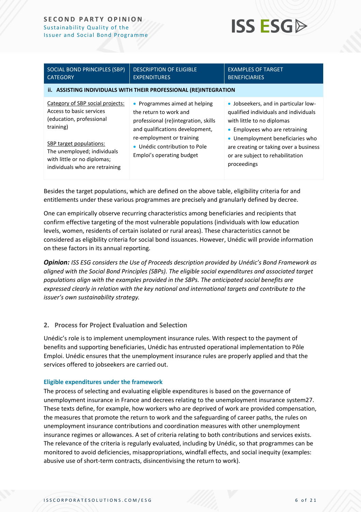#### **SECOND PARTY OPINION** Sustainability Quality of the Issu er and Social Bond Programme



| SOCIAL BOND PRINCIPLES (SBP)<br><b>CATEGORY</b>                                                                                                                                                                                  | <b>DESCRIPTION OF ELIGIBLE</b><br><b>EXPENDITURES</b>                                                                                                                                                                         | <b>EXAMPLES OF TARGET</b><br><b>BENEFICIARIES</b>                                                                                                                                                                                                                              |
|----------------------------------------------------------------------------------------------------------------------------------------------------------------------------------------------------------------------------------|-------------------------------------------------------------------------------------------------------------------------------------------------------------------------------------------------------------------------------|--------------------------------------------------------------------------------------------------------------------------------------------------------------------------------------------------------------------------------------------------------------------------------|
|                                                                                                                                                                                                                                  | ii. ASSISTING INDIVIDUALS WITH THEIR PROFESSIONAL (RE)INTEGRATION                                                                                                                                                             |                                                                                                                                                                                                                                                                                |
| Category of SBP social projects:<br>Access to basic services<br>(education, professional<br>training)<br>SBP target populations:<br>The unemployed; individuals<br>with little or no diplomas;<br>individuals who are retraining | • Programmes aimed at helping<br>the return to work and<br>professional (re)integration, skills<br>and qualifications development,<br>re-employment or training<br>• Unédic contribution to Pole<br>Emploi's operating budget | • Jobseekers, and in particular low-<br>qualified individuals and individuals<br>with little to no diplomas<br>• Employees who are retraining<br>• Unemployment beneficiaries who<br>are creating or taking over a business<br>or are subject to rehabilitation<br>proceedings |

Besides the target populations, which are defined on the above table, eligibility criteria for and entitlements under these various programmes are precisely and granularly defined by decree.

One can empirically observe recurring characteristics among beneficiaries and recipients that confirm effective targeting of the most vulnerable populations (individuals with low education levels, women, residents of certain isolated or rural areas). These characteristics cannot be considered as eligibility criteria for social bond issuances. However, Unédic will provide information on these factors in its annual reporting.

*Opinion: ISS ESG considers the Use of Proceeds description provided by Unédic's Bond Framework as aligned with the Social Bond Principles (SBPs). The eligible social expenditures and associated target populations align with the examples provided in the SBPs. The anticipated social benefits are expressed clearly in relation with the key national and international targets and contribute to the issuer's own sustainability strategy.*

#### **2. Process for Project Evaluation and Selection**

Unédic's role is to implement unemployment insurance rules. With respect to the payment of benefits and supporting beneficiaries, Unédic has entrusted operational implementation to Pôle Emploi. Unédic ensures that the unemployment insurance rules are properly applied and that the services offered to jobseekers are carried out.

#### **Eligible expenditures under the framework**

The process of selecting and evaluating eligible expenditures is based on the governance of unemployment insurance in France and decrees relating to the unemployment insurance system27. These texts define, for example, how workers who are deprived of work are provided compensation, the measures that promote the return to work and the safeguarding of career paths, the rules on unemployment insurance contributions and coordination measures with other unemployment insurance regimes or allowances. A set of criteria relating to both contributions and services exists. The relevance of the criteria is regularly evaluated, including by Unédic, so that programmes can be monitored to avoid deficiencies, misappropriations, windfall effects, and social inequity (examples: abusive use of short-term contracts, disincentivising the return to work).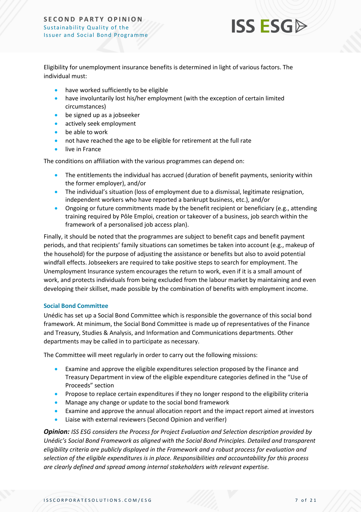

Eligibility for unemployment insurance benefits is determined in light of various factors. The individual must:

- have worked sufficiently to be eligible
- have involuntarily lost his/her employment (with the exception of certain limited circumstances)
- be signed up as a jobseeker
- actively seek employment
- be able to work
- not have reached the age to be eligible for retirement at the full rate
- live in France

The conditions on affiliation with the various programmes can depend on:

- The entitlements the individual has accrued (duration of benefit payments, seniority within the former employer), and/or
- The individual's situation (loss of employment due to a dismissal, legitimate resignation, independent workers who have reported a bankrupt business, etc.), and/or
- Ongoing or future commitments made by the benefit recipient or beneficiary (e.g., attending training required by Pôle Emploi, creation or takeover of a business, job search within the framework of a personalised job access plan).

Finally, it should be noted that the programmes are subject to benefit caps and benefit payment periods, and that recipients' family situations can sometimes be taken into account (e.g., makeup of the household) for the purpose of adjusting the assistance or benefits but also to avoid potential windfall effects. Jobseekers are required to take positive steps to search for employment. The Unemployment Insurance system encourages the return to work, even if it is a small amount of work, and protects individuals from being excluded from the labour market by maintaining and even developing their skillset, made possible by the combination of benefits with employment income.

#### **Social Bond Committee**

Unédic has set up a Social Bond Committee which is responsible the governance of this social bond framework. At minimum, the Social Bond Committee is made up of representatives of the Finance and Treasury, Studies & Analysis, and Information and Communications departments. Other departments may be called in to participate as necessary.

The Committee will meet regularly in order to carry out the following missions:

- Examine and approve the eligible expenditures selection proposed by the Finance and Treasury Department in view of the eligible expenditure categories defined in the "Use of Proceeds" section
- Propose to replace certain expenditures if they no longer respond to the eligibility criteria
- Manage any change or update to the social bond framework
- Examine and approve the annual allocation report and the impact report aimed at investors
- Liaise with external reviewers (Second Opinion and verifier)

*Opinion: ISS ESG considers the Process for Project Evaluation and Selection description provided by Unédic's Social Bond Framework as aligned with the Social Bond Principles. Detailed and transparent eligibility criteria are publicly displayed in the Framework and a robust process for evaluation and selection of the eligible expenditures is in place. Responsibilities and accountability for this process are clearly defined and spread among internal stakeholders with relevant expertise.*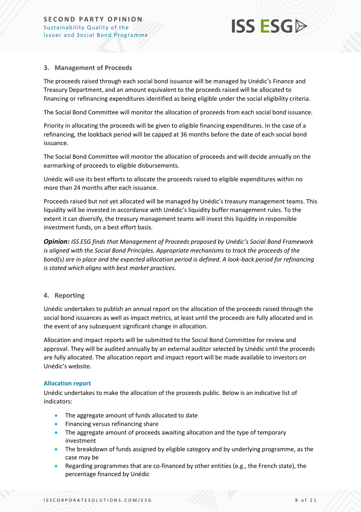

#### **3. Management of Proceeds**

The proceeds raised through each social bond issuance will be managed by Unédic's Finance and Treasury Department, and an amount equivalent to the proceeds raised will be allocated to financing or refinancing expenditures identified as being eligible under the social eligibility criteria.

The Social Bond Committee will monitor the allocation of proceeds from each social bond issuance.

Priority in allocating the proceeds will be given to eligible financing expenditures. In the case of a refinancing, the lookback period will be capped at 36 months before the date of each social bond issuance.

The Social Bond Committee will monitor the allocation of proceeds and will decide annually on the earmarking of proceeds to eligible disbursements.

Unédic will use its best efforts to allocate the proceeds raised to eligible expenditures within no more than 24 months after each issuance.

Proceeds raised but not yet allocated will be managed by Unédic's treasury management teams. This liquidity will be invested in accordance with Unédic's liquidity buffer management rules. To the extent it can diversify, the treasury management teams will invest this liquidity in responsible investment funds, on a best effort basis.

*Opinion: ISS ESG finds that Management of Proceeds proposed by Unédic's Social Bond Framework is aligned with the Social Bond Principles. Appropriate mechanisms to track the proceeds of the bond(s) are in place and the expected allocation period is defined. A look-back period for refinancing is stated which aligns with best market practices.*

#### **4. Reporting**

Unédic undertakes to publish an annual report on the allocation of the proceeds raised through the social bond issuances as well as impact metrics, at least until the proceeds are fully allocated and in the event of any subsequent significant change in allocation.

Allocation and impact reports will be submitted to the Social Bond Committee for review and approval. They will be audited annually by an external auditor selected by Unédic until the proceeds are fully allocated. The allocation report and impact report will be made available to investors on Unédic's website.

#### **Allocation report**

Unédic undertakes to make the allocation of the proceeds public. Below is an indicative list of indicators:

- The aggregate amount of funds allocated to date
- Financing versus refinancing share
- The aggregate amount of proceeds awaiting allocation and the type of temporary investment
- The breakdown of funds assigned by eligible category and by underlying programme, as the case may be
- Regarding programmes that are co-financed by other entities (e.g., the French state), the percentage financed by Unédic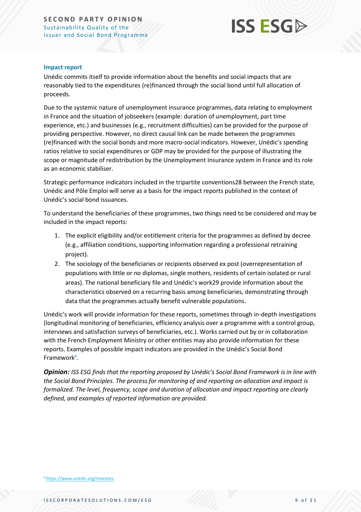

#### **Impact report**

Unédic commits itself to provide information about the benefits and social impacts that are reasonably tied to the expenditures (re)financed through the social bond until full allocation of proceeds.

Due to the systemic nature of unemployment insurance programmes, data relating to employment in France and the situation of jobseekers (example: duration of unemployment, part time experience, etc.) and businesses (e.g., recruitment difficulties) can be provided for the purpose of providing perspective. However, no direct causal link can be made between the programmes (re)financed with the social bonds and more macro-social indicators. However, Unédic's spending ratios relative to social expenditures or GDP may be provided for the purpose of illustrating the scope or magnitude of redistribution by the Unemployment Insurance system in France and its role as an economic stabiliser.

Strategic performance indicators included in the tripartite conventions28 between the French state, Unédic and Pôle Emploi will serve as a basis for the impact reports published in the context of Unédic's social bond issuances.

To understand the beneficiaries of these programmes, two things need to be considered and may be included in the impact reports:

- 1. The explicit eligibility and/or entitlement criteria for the programmes as defined by decree (e.g., affiliation conditions, supporting information regarding a professional retraining project).
- 2. The sociology of the beneficiaries or recipients observed ex post (overrepresentation of populations with little or no diplomas, single mothers, residents of certain isolated or rural areas). The national beneficiary file and Unédic's work29 provide information about the characteristics observed on a recurring basis among beneficiaries, demonstrating through data that the programmes actually benefit vulnerable populations.

Unédic's work will provide information for these reports, sometimes through in-depth investigations (longitudinal monitoring of beneficiaries, efficiency analysis over a programme with a control group, interviews and satisfaction surveys of beneficiaries, etc.). Works carried out by or in collaboration with the French Employment Ministry or other entities may also provide information for these reports. Examples of possible impact indicators are provided in the Unédic's Social Bond Framework<sup>4</sup>.

*Opinion: ISS ESG finds that the reporting proposed by Unédic's Social Bond Framework is in line with the Social Bond Principles. The process for monitoring of and reporting on allocation and impact is formalized. The level, frequency, scope and duration of allocation and impact reporting are clearly defined, and examples of reported information are provided.*

<sup>4</sup> <https://www.unedic.org/investors>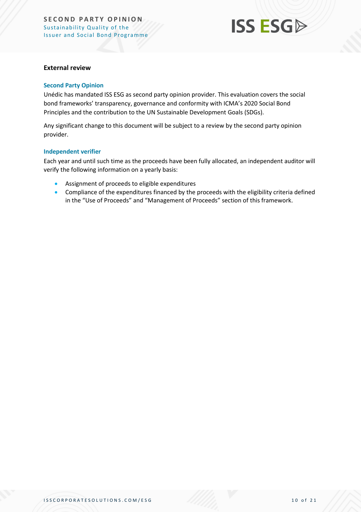#### **External review**

#### **Second Party Opinion**

Unédic has mandated ISS ESG as second party opinion provider. This evaluation covers the social bond frameworks' transparency, governance and conformity with ICMA's 2020 Social Bond Principles and the contribution to the UN Sustainable Development Goals (SDGs).

Any significant change to this document will be subject to a review by the second party opinion provider.

#### **Independent verifier**

Each year and until such time as the proceeds have been fully allocated, an independent auditor will verify the following information on a yearly basis:

- Assignment of proceeds to eligible expenditures
- Compliance of the expenditures financed by the proceeds with the eligibility criteria defined in the "Use of Proceeds" and "Management of Proceeds" section of this framework.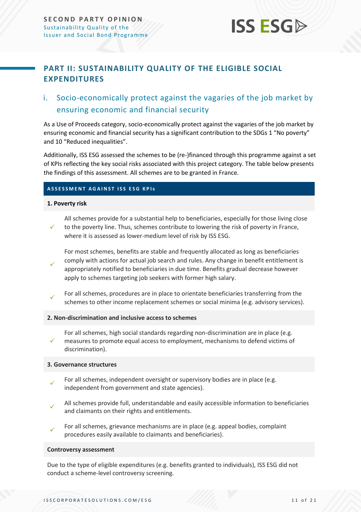## <span id="page-10-0"></span>**PART II: SUSTAINABILITY QUALITY OF THE ELIGIBLE SOCIAL EXPENDITURES**

## i. Socio-economically protect against the vagaries of the job market by ensuring economic and financial security

As a Use of Proceeds category, socio-economically protect against the vagaries of the job market by ensuring economic and financial security has a significant contribution to the SDGs 1 "No poverty" and 10 "Reduced inequalities".

Additionally, ISS ESG assessed the schemes to be (re-)financed through this programme against a set of KPIs reflecting the key social risks associated with this project category. The table below presents the findings of this assessment. All schemes are to be granted in France.

#### **ASSESSMENT AGAINST ISS ESG KPIS**

#### **1. Poverty risk**

✓ All schemes provide for a substantial help to beneficiaries, especially for those living close to the poverty line. Thus, schemes contribute to lowering the risk of poverty in France, where it is assessed as lower-medium level of risk by ISS ESG.

✓ For most schemes, benefits are stable and frequently allocated as long as beneficiaries comply with actions for actual job search and rules. Any change in benefit entitlement is appropriately notified to beneficiaries in due time. Benefits gradual decrease however apply to schemes targeting job seekers with former high salary.

✓ For all schemes, procedures are in place to orientate beneficiaries transferring from the schemes to other income replacement schemes or social minima (e.g. advisory services).

#### **2. Non-discrimination and inclusive access to schemes**

✓ For all schemes, high social standards regarding non-discrimination are in place (e.g. measures to promote equal access to employment, mechanisms to defend victims of discrimination).

#### **3. Governance structures**

- ✓ For all schemes, independent oversight or supervisory bodies are in place (e.g. independent from government and state agencies).
- ✓ All schemes provide full, understandable and easily accessible information to beneficiaries and claimants on their rights and entitlements.
- ✓ For all schemes, grievance mechanisms are in place (e.g. appeal bodies, complaint procedures easily available to claimants and beneficiaries).

#### **Controversy assessment**

Due to the type of eligible expenditures (e.g. benefits granted to individuals), ISS ESG did not conduct a scheme-level controversy screening.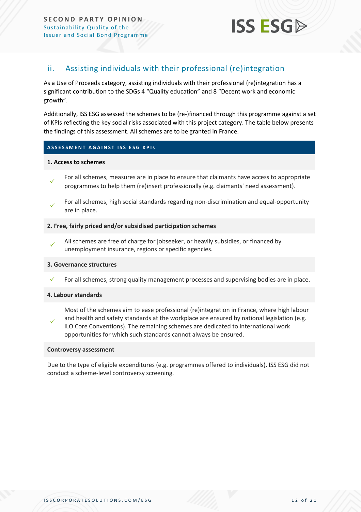**SECOND PARTY OPINION** Sustainability Quality of the Issu er and Social Bond Programme



#### ii. Assisting individuals with their professional (re)integration

As a Use of Proceeds category, assisting individuals with their professional (re)integration has a significant contribution to the SDGs 4 "Quality education" and 8 "Decent work and economic growth".

Additionally, ISS ESG assessed the schemes to be (re-)financed through this programme against a set of KPIs reflecting the key social risks associated with this project category. The table below presents the findings of this assessment. All schemes are to be granted in France.

#### **ASSESSMENT AGAINST ISS ESG KPIS**

#### **1. Access to schemes**

- ✓ For all schemes, measures are in place to ensure that claimants have access to appropriate programmes to help them (re)insert professionally (e.g. claimants' need assessment).
- ✓ For all schemes, high social standards regarding non-discrimination and equal-opportunity are in place.

#### **2. Free, fairly priced and/or subsidised participation schemes**

✓ All schemes are free of charge for jobseeker, or heavily subsidies, or financed by unemployment insurance, regions or specific agencies.

#### **3. Governance structures**

For all schemes, strong quality management processes and supervising bodies are in place.

#### **4. Labour standards**

✓ Most of the schemes aim to ease professional (re)integration in France, where high labour and health and safety standards at the workplace are ensured by national legislation (e.g. ILO Core Conventions). The remaining schemes are dedicated to international work opportunities for which such standards cannot always be ensured.

#### **Controversy assessment**

Due to the type of eligible expenditures (e.g. programmes offered to individuals), ISS ESG did not conduct a scheme-level controversy screening.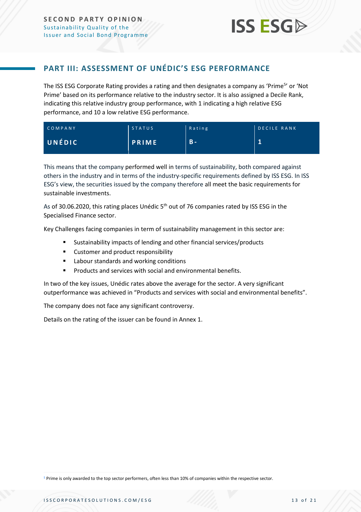#### <span id="page-12-0"></span>**PART III: ASSESSMENT OF UNÉDIC'S ESG PERFORMANCE**

The ISS ESG Corporate Rating provides a rating and then designates a company as 'Prime<sup>5</sup>' or 'Not Prime' based on its performance relative to the industry sector. It is also assigned a Decile Rank, indicating this relative industry group performance, with 1 indicating a high relative ESG performance, and 10 a low relative ESG performance.

| COMPANY | <b>STATUS</b> | Rating | <b>DECILE RANK</b> |
|---------|---------------|--------|--------------------|
| UNÉDIC  | <b>PRIME</b>  | $B -$  | $\mathbf{1}$       |

This means that the company performed well in terms of sustainability, both compared against others in the industry and in terms of the industry-specific requirements defined by ISS ESG. In ISS ESG's view, the securities issued by the company therefore all meet the basic requirements for sustainable investments.

As of 30.06.2020, this rating places Unédic 5<sup>th</sup> out of 76 companies rated by ISS ESG in the Specialised Finance sector.

Key Challenges facing companies in term of sustainability management in this sector are:

- Sustainability impacts of lending and other financial services/products
- Customer and product responsibility
- Labour standards and working conditions
- Products and services with social and environmental benefits.

In two of the key issues, Unédic rates above the average for the sector. A very significant outperformance was achieved in "Products and services with social and environmental benefits".

The company does not face any significant controversy.

Details on the rating of the issuer can be found in Annex 1.

<sup>5</sup> Prime is only awarded to the top sector performers, often less than 10% of companies within the respective sector.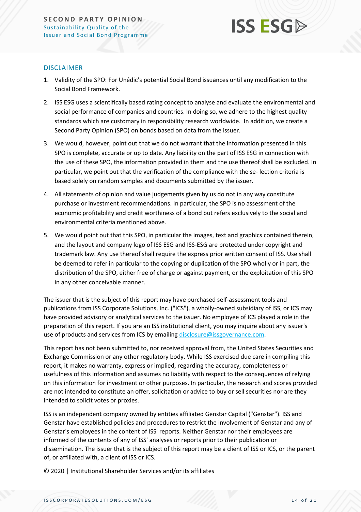#### DISCLAIMER

- 1. Validity of the SPO: For Unédic's potential Social Bond issuances until any modification to the Social Bond Framework.
- 2. ISS ESG uses a scientifically based rating concept to analyse and evaluate the environmental and social performance of companies and countries. In doing so, we adhere to the highest quality standards which are customary in responsibility research worldwide. In addition, we create a Second Party Opinion (SPO) on bonds based on data from the issuer.
- 3. We would, however, point out that we do not warrant that the information presented in this SPO is complete, accurate or up to date. Any liability on the part of ISS ESG in connection with the use of these SPO, the information provided in them and the use thereof shall be excluded. In particular, we point out that the verification of the compliance with the se- lection criteria is based solely on random samples and documents submitted by the issuer.
- 4. All statements of opinion and value judgements given by us do not in any way constitute purchase or investment recommendations. In particular, the SPO is no assessment of the economic profitability and credit worthiness of a bond but refers exclusively to the social and environmental criteria mentioned above.
- 5. We would point out that this SPO, in particular the images, text and graphics contained therein, and the layout and company logo of ISS ESG and ISS-ESG are protected under copyright and trademark law. Any use thereof shall require the express prior written consent of ISS. Use shall be deemed to refer in particular to the copying or duplication of the SPO wholly or in part, the distribution of the SPO, either free of charge or against payment, or the exploitation of this SPO in any other conceivable manner.

The issuer that is the subject of this report may have purchased self-assessment tools and publications from ISS Corporate Solutions, Inc. ("ICS"), a wholly-owned subsidiary of ISS, or ICS may have provided advisory or analytical services to the issuer. No employee of ICS played a role in the preparation of this report. If you are an ISS institutional client, you may inquire about any issuer's use of products and services from ICS by emailing [disclosure@issgovernance.com.](mailto:disclosure@issgovernance.com)

This report has not been submitted to, nor received approval from, the United States Securities and Exchange Commission or any other regulatory body. While ISS exercised due care in compiling this report, it makes no warranty, express or implied, regarding the accuracy, completeness or usefulness of this information and assumes no liability with respect to the consequences of relying on this information for investment or other purposes. In particular, the research and scores provided are not intended to constitute an offer, solicitation or advice to buy or sell securities nor are they intended to solicit votes or proxies.

ISS is an independent company owned by entities affiliated Genstar Capital ("Genstar"). ISS and Genstar have established policies and procedures to restrict the involvement of Genstar and any of Genstar's employees in the content of ISS' reports. Neither Genstar nor their employees are informed of the contents of any of ISS' analyses or reports prior to their publication or dissemination. The issuer that is the subject of this report may be a client of ISS or ICS, or the parent of, or affiliated with, a client of ISS or ICS.

© 2020 | Institutional Shareholder Services and/or its affiliates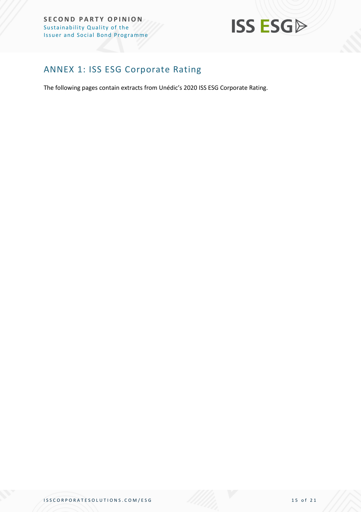#### **SECOND PARTY OPINION** Sustainability Quality of the Issu er and Social Bond Programme



## <span id="page-14-0"></span>ANNEX 1: ISS ESG Corporate Rating

The following pages contain extracts from Unédic's 2020 ISS ESG Corporate Rating.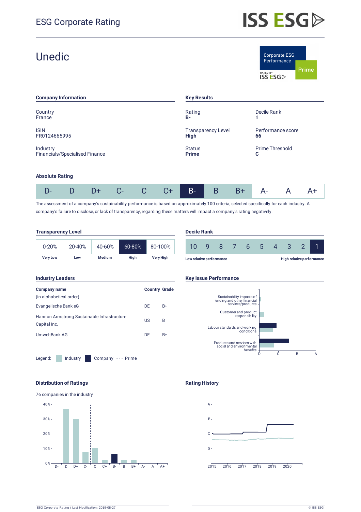| <b>Unedic</b>                              |                                          | Corporate ESG<br>Performance<br><b>Prime</b><br>RATED BY<br><b>ISS ESG</b> |
|--------------------------------------------|------------------------------------------|----------------------------------------------------------------------------|
| <b>Company Information</b>                 | <b>Key Results</b>                       |                                                                            |
| Country<br>France                          | Rating<br><b>B-</b>                      | Decile Rank                                                                |
| <b>ISIN</b><br>FR0124665995                | <b>Transparency Level</b><br><b>High</b> | Performance score<br>66                                                    |
| Industry<br>Financials/Specialised Finance | <b>Status</b><br><b>Prime</b>            | Prime Threshold<br>С                                                       |

#### **Absolute Rating**

|  |  |  |  | D- D D+ C- C C+ B- B B+ A- A A+ |  |  |
|--|--|--|--|---------------------------------|--|--|

The assessment of a company's sustainability performance is based on approximately 100 criteria, selected specifically for each industry. A company's failure to disclose, or lack of transparency, regarding these matters will impact a company's rating negatively.

| <b>Transparency Level</b> |            |               |        |           |                   | <b>Decile Rank</b> |   |
|---------------------------|------------|---------------|--------|-----------|-------------------|--------------------|---|
| $0 - 20%$                 | $20 - 40%$ | 40-60%        | 60-80% | 80-100%   |                   | 10                 | q |
| <b>Verv Low</b>           | Low        | <b>Medium</b> | Hiah   | Very High | Low relative perf |                    |   |

#### **Industry Leaders Key Issue Performance Company name** (in alphabetical order) **Country Grade** Evangelische Bank eG DE B+ Hannon Armstrong Sustainable Infrastructure Capital Inc. US B UmweltBank AG DE B+

Legend: Industry Company --- Prime









#### **Distribution of Ratings Rating History Rating History**



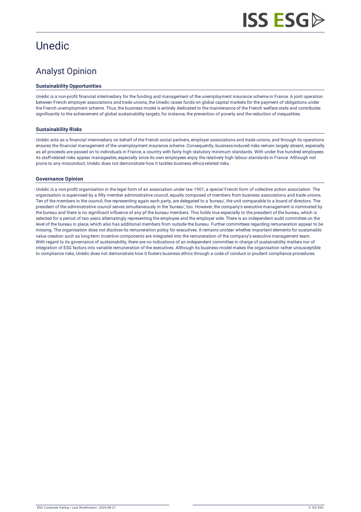## **Unedic**

## Analyst Opinion

#### **Sustainability Opportunities**

Unédic is a non-profit financial intermediary for the funding and management of the unemployment insurance scheme in France. A joint operation between French employer associations and trade unions, the Unedic raises funds on global capital markets for the payment of obligations under the French unemployment scheme. Thus, the business model is entirely dedicated to the maintenance of the French welfare state and contributes significantly to the achievement of global sustainability targets, for instance, the prevention of poverty and the reduction of inequalities.

#### **Sustainability Risks**

Unédic acts as a financial intermediary on behalf of the French social partners, employer associations and trade unions, and through its operations ensures the financial management of the unemployment insurance scheme. Consequently, business-induced risks remain largely absent, especially as all proceeds are passed on to individuals in France, a country with fairly high statutory minimum standards. With under five hundred employees its staff-related risks appear manageable, especially since its own employees enjoy the relatively high labour standards in France. Although not prone to any misconduct, Unédic does not demonstrate how it tackles business ethics-related risks.

#### **Governance Opinion**

Unédic is a non-profit organisation in the legal form of an association under law 1901, a special French form of collective action association. The organisation is supervised by a fifty member administrative council, equally composed of members from business associations and trade unions. Ten of the members in the council, five representing again each party, are delegated to a 'bureau', the unit comparable to a board of directors. The president of the administrative council serves simultaneously in the 'bureau', too. However, the company's executive management is nominated by the bureau and there is no significant influence of any pf the bureau members. This holds true especially to the president of the bureau, which is selected for a period of two years alternatingly representing the employee and the employer side. There is an independent audit committee on the level of the bureau in place, which also has additional members from outside the bureau. Further committees regarding remuneration appear to be missing. The organisation does not disclose its remuneration policy for executives. It remains unclear whether important elements for sustainable value creation such as long-term incentive components are integrated into the remuneration of the company's executive management team. With regard to its governance of sustainability, there are no indications of an independent committee in charge of sustainability matters nor of integration of ESG factors into variable remuneration of the executives. Although its business model makes the organisation rather unsusceptible to compliance risks, Unédic does not demonstrate how it fosters business ethics through a code of conduct or prudent compliance procedures.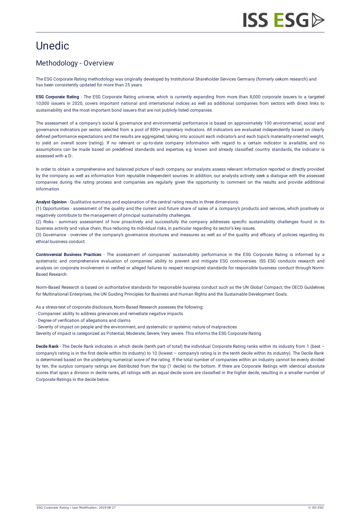## **Unedic**

## Methodology - Overview

The ESG Corporate Rating methodology was originally developed by Institutional Shareholder Services Germany (formerly oekom research) and has been consistently updated for more than 25 years.

**ESG Corporate Rating** - The ESG Corporate Rating universe, which is currently expanding from more than 8,000 corporate issuers to a targeted 10,000 issuers in 2020, covers important national and international indices as well as additional companies from sectors with direct links to sustainability and the most important bond issuers that are not publicly listed companies.

The assessment of a company's social & governance and environmental performance is based on approximately 100 environmental, social and governance indicators per sector, selected from a pool of 800+ proprietary indicators. All indicators are evaluated independently based on clearly defined performance expectations and the results are aggregated, taking into account each indicator's and each topic's materiality-oriented weight, to yield an overall score (rating). If no relevant or up-to-date company information with regard to a certain indicator is available, and no assumptions can be made based on predefined standards and expertise, e.g. known and already classified country standards, the indicator is assessed with a D-.

In order to obtain a comprehensive and balanced picture of each company, our analysts assess relevant information reported or directly provided by the company as well as information from reputable independent sources. In addition, our analysts actively seek a dialogue with the assessed companies during the rating process and companies are regularly given the opportunity to comment on the results and provide additional information.

**Analyst Opinion** - Qualitative summary and explanation of the central rating results in three dimensions:

(1) Opportunities - assessment of the quality and the current and future share of sales of a company's products and services, which positively or negatively contribute to the management of principal sustainability challenges.

(2) Risks - summary assessment of how proactively and successfully the company addresses specific sustainability challenges found in its business activity and value chain, thus reducing its individual risks, in particular regarding its sector's key issues.

(3) Governance - overview of the company's governance structures and measures as well as of the quality and efficacy of policies regarding its ethical business conduct.

**Controversial Business Practices** - The assessment of companies' sustainability performance in the ESG Corporate Rating is informed by a systematic and comprehensive evaluation of companies' ability to prevent and mitigate ESG controversies. ISS ESG conducts research and [analysis on corporate involvement in verified or alleged failures to respect recognized standards for responsible business conduct through Norm-](https://www.issgovernance.com/esg/screening/esg-screening-solutions/#nbr_techdoc_download)Based Research.

Norm-Based Research is based on authoritative standards for responsible business conduct such as the UN Global Compact, the OECD Guidelines for Multinational Enterprises, the UN Guiding Principles for Business and Human Rights and the Sustainable Development Goals.

As a stress-test of corporate disclosure, Norm-Based Research assesses the following:

- Companies' ability to address grievances and remediate negative impacts
- Degree of verification of allegations and claims

- Severity of impact on people and the environment, and systematic or systemic nature of malpractices

Severity of impact is categorized as Potential, Moderate, Severe, Very severe. This informs the ESG Corporate Rating.

**Decile Rank** - The Decile Rank indicates in which decile (tenth part of total) the individual Corporate Rating ranks within its industry from 1 (best – company's rating is in the first decile within its industry) to 10 (lowest – company's rating is in the tenth decile within its industry). The Decile Rank is determined based on the underlying numerical score of the rating. If the total number of companies within an industry cannot be evenly divided by ten, the surplus company ratings are distributed from the top (1 decile) to the bottom. If there are Corporate Ratings with identical absolute scores that span a division in decile ranks, all ratings with an equal decile score are classified in the higher decile, resulting in a smaller number of Corporate Ratings in the decile below.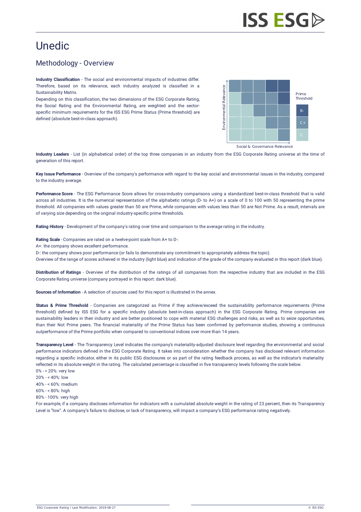## Unedic

## Methodology - Overview

**Industry Classification** - The social and environmental impacts of industries differ. Therefore, based on its relevance, each industry analyzed is classified in a Sustainability Matrix.

Depending on this classification, the two dimensions of the ESG Corporate Rating, the Social Rating and the Environmental Rating, are weighted and the sectorspecific minimum requirements for the ISS ESG Prime Status (Prime threshold) are defined (absolute best-in-class approach).



**Industry Leaders** - List (in alphabetical order) of the top three companies in an industry from the ESG Corporate Rating universe at the time of generation of this report.

**Key Issue Performance** - Overview of the company's performance with regard to the key social and environmental issues in the industry, compared to the industry average.

**Performance Score** - The ESG Performance Score allows for cross-industry comparisons using a standardized best-in-class threshold that is valid across all industries. It is the numerical representation of the alphabetic ratings (D- to A+) on a scale of 0 to 100 with 50 representing the prime threshold. All companies with values greater than 50 are Prime, while companies with values less than 50 are Not Prime. As a result, intervals are of varying size depending on the original industry-specific prime thresholds.

**Rating History** - Development of the company's rating over time and comparison to the average rating in the industry.

**Rating Scale** - Companies are rated on a twelve-point scale from A+ to D-:

A+: the company shows excellent performance.

D-: the company shows poor performance (or fails to demonstrate any commitment to appropriately address the topic).

Overview of the range of scores achieved in the industry (light blue) and indication of the grade of the company evaluated in this report (dark blue).

**Distribution of Ratings** - Overview of the distribution of the ratings of all companies from the respective industry that are included in the ESG Corporate Rating universe (company portrayed in this report: dark blue).

**Sources of Information** - A selection of sources used for this report is illustrated in the annex.

Status & Prime Threshold - Companies are categorized as Prime if they achieve/exceed the sustainability performance requirements (Prime threshold) defined by ISS ESG for a specific industry (absolute best-in-class approach) in the ESG Corporate Rating. Prime companies are sustainability leaders in their industry and are better positioned to cope with material ESG challenges and risks, as well as to seize opportunities, than their Not Prime peers. The financial materiality of the Prime Status has been confirmed by performance studies, showing a continuous outperformance of the Prime portfolio when compared to conventional indices over more than 14 years.

**Transparency Level** - The Transparency Level indicates the company's materiality-adjusted disclosure level regarding the environmental and social performance indicators defined in the ESG Corporate Rating. It takes into consideration whether the company has disclosed relevant information regarding a specific indicator, either in its public ESG disclosures or as part of the rating feedback process, as well as the indicator's materiality reflected in its absolute weight in the rating. The calculated percentage is classified in five transparency levels following the scale below. 0% - < 20%: very low

20% - < 40%: low 40% - < 60%: medium 60% - < 80%: high 80% - 100%: very high

For example, if a company discloses information for indicators with a cumulated absolute weight in the rating of 23 percent, then its Transparency Level is "low". A company's failure to disclose, or lack of transparency, will impact a company's ESG performance rating negatively.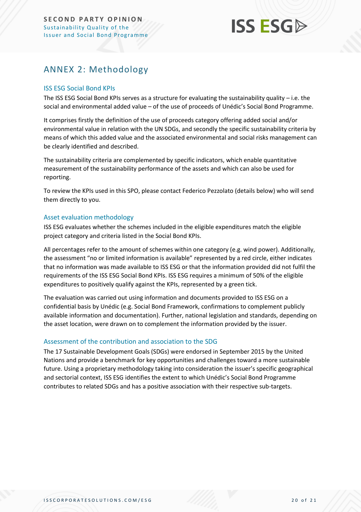## <span id="page-19-0"></span>ANNEX 2: Methodology

#### ISS ESG Social Bond KPIs

The ISS ESG Social Bond KPIs serves as a structure for evaluating the sustainability quality – i.e. the social and environmental added value – of the use of proceeds of Unédic's Social Bond Programme.

It comprises firstly the definition of the use of proceeds category offering added social and/or environmental value in relation with the UN SDGs, and secondly the specific sustainability criteria by means of which this added value and the associated environmental and social risks management can be clearly identified and described.

The sustainability criteria are complemented by specific indicators, which enable quantitative measurement of the sustainability performance of the assets and which can also be used for reporting.

To review the KPIs used in this SPO, please contact Federico Pezzolato (details below) who will send them directly to you.

#### Asset evaluation methodology

ISS ESG evaluates whether the schemes included in the eligible expenditures match the eligible project category and criteria listed in the Social Bond KPIs.

All percentages refer to the amount of schemes within one category (e.g. wind power). Additionally, the assessment "no or limited information is available" represented by a red circle, either indicates that no information was made available to ISS ESG or that the information provided did not fulfil the requirements of the ISS ESG Social Bond KPIs. ISS ESG requires a minimum of 50% of the eligible expenditures to positively qualify against the KPIs, represented by a green tick.

The evaluation was carried out using information and documents provided to ISS ESG on a confidential basis by Unédic (e.g. Social Bond Framework, confirmations to complement publicly available information and documentation). Further, national legislation and standards, depending on the asset location, were drawn on to complement the information provided by the issuer.

#### Assessment of the contribution and association to the SDG

The 17 Sustainable Development Goals (SDGs) were endorsed in September 2015 by the United Nations and provide a benchmark for key opportunities and challenges toward a more sustainable future. Using a proprietary methodology taking into consideration the issuer's specific geographical and sectorial context, ISS ESG identifies the extent to which Unédic's Social Bond Programme contributes to related SDGs and has a positive association with their respective sub-targets.